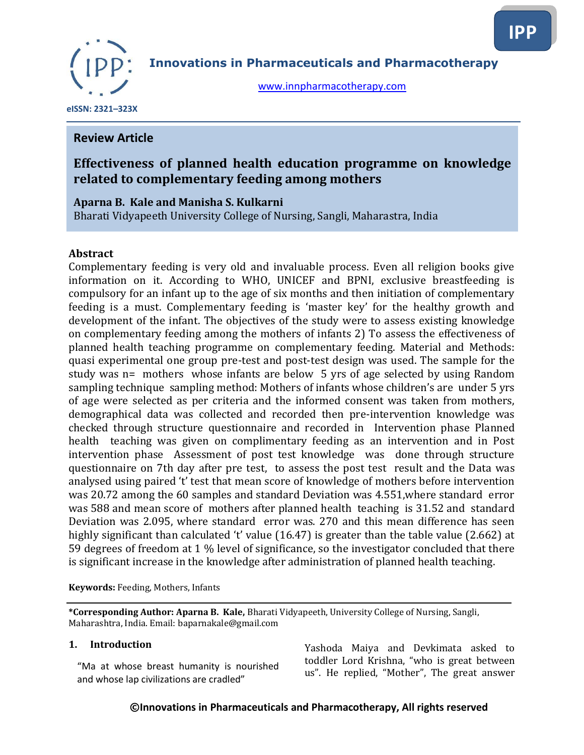

**Innovations in Pharmaceuticals and Pharmacotherapy**

[www.innpharmacotherapy.com](http://www.innpharmacotherapy.com/)

**IPP**

 **eISSN: 2321–323X**

# **Review Article**

# **Effectiveness of planned health education programme on knowledge related to complementary feeding among mothers**

### **Aparna B. Kale and Manisha S. Kulkarni**

Bharati Vidyapeeth University College of Nursing, Sangli, Maharastra, India

### **Abstract**

Complementary feeding is very old and invaluable process. Even all religion books give information on it. According to WHO, UNICEF and BPNI, exclusive breastfeeding is compulsory for an infant up to the age of six months and then initiation of complementary feeding is a must. Complementary feeding is 'master key' for the healthy growth and development of the infant. The objectives of the study were to assess existing knowledge on complementary feeding among the mothers of infants 2) To assess the effectiveness of planned health teaching programme on complementary feeding. Material and Methods: quasi experimental one group pre-test and post-test design was used. The sample for the study was n= mothers whose infants are below 5 yrs of age selected by using Random sampling technique sampling method: Mothers of infants whose children's are under 5 yrs of age were selected as per criteria and the informed consent was taken from mothers, demographical data was collected and recorded then pre-intervention knowledge was checked through structure questionnaire and recorded in Intervention phase Planned health teaching was given on complimentary feeding as an intervention and in Post intervention phase Assessment of post test knowledge was done through structure questionnaire on 7th day after pre test, to assess the post test result and the Data was analysed using paired 't' test that mean score of knowledge of mothers before intervention was 20.72 among the 60 samples and standard Deviation was 4.551,where standard error was 588 and mean score of mothers after planned health teaching is 31.52 and standard Deviation was 2.095, where standard error was. 270 and this mean difference has seen highly significant than calculated 't' value (16.47) is greater than the table value (2.662) at 59 degrees of freedom at 1 % level of significance, so the investigator concluded that there is significant increase in the knowledge after administration of planned health teaching.

**Keywords:** Feeding, Mothers, Infants

**\*Corresponding Author: Aparna B. Kale,** Bharati Vidyapeeth, University College of Nursing, Sangli, Maharashtra, India. Email: baparnakale@gmail.com

#### **1. Introduction**

"Ma at whose breast humanity is nourished and whose lap civilizations are cradled"

Yashoda Maiya and Devkimata asked to toddler Lord Krishna, "who is great between us". He replied, "Mother", The great answer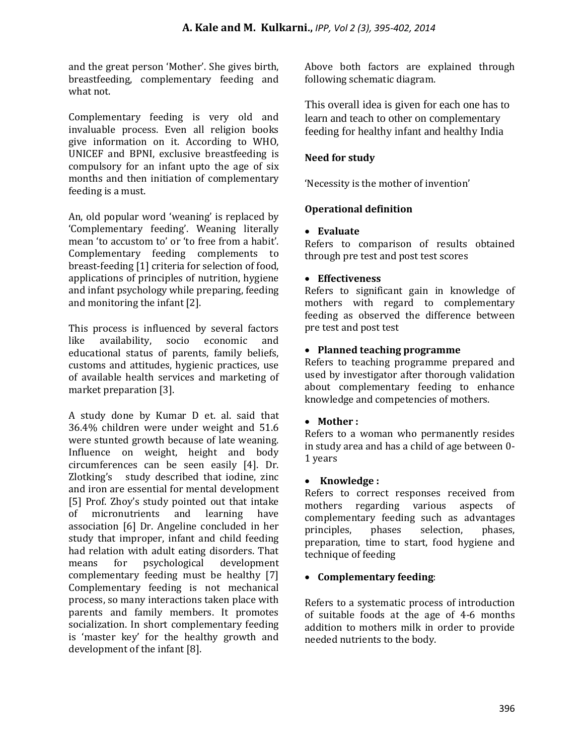and the great person 'Mother'. She gives birth, breastfeeding, complementary feeding and what not.

Complementary feeding is very old and invaluable process. Even all religion books give information on it. According to WHO, UNICEF and BPNI, exclusive breastfeeding is compulsory for an infant upto the age of six months and then initiation of complementary feeding is a must.

An, old popular word 'weaning' is replaced by 'Complementary feeding'. Weaning literally mean 'to accustom to' or 'to free from a habit'. Complementary feeding complements to breast-feeding [1] criteria for selection of food, applications of principles of nutrition, hygiene and infant psychology while preparing, feeding and monitoring the infant [2].

This process is influenced by several factors like availability, socio economic and educational status of parents, family beliefs, customs and attitudes, hygienic practices, use of available health services and marketing of market preparation [3].

A study done by Kumar D et. al. said that 36.4% children were under weight and 51.6 were stunted growth because of late weaning. Influence on weight, height and body circumferences can be seen easily [4]. Dr. Zlotking's study described that iodine, zinc and iron are essential for mental development [5] Prof. Zhoy's study pointed out that intake of micronutrients and learning have association [6] Dr. Angeline concluded in her study that improper, infant and child feeding had relation with adult eating disorders. That means for psychological development complementary feeding must be healthy [7] Complementary feeding is not mechanical process, so many interactions taken place with parents and family members. It promotes socialization. In short complementary feeding is 'master key' for the healthy growth and development of the infant [8].

Above both factors are explained through following schematic diagram.

This overall idea is given for each one has to learn and teach to other on complementary feeding for healthy infant and healthy India

### **Need for study**

'Necessity is the mother of invention'

### **Operational definition**

#### **Evaluate**

Refers to comparison of results obtained through pre test and post test scores

#### **Effectiveness**

Refers to significant gain in knowledge of mothers with regard to complementary feeding as observed the difference between pre test and post test

### **Planned teaching programme**

Refers to teaching programme prepared and used by investigator after thorough validation about complementary feeding to enhance knowledge and competencies of mothers.

#### **Mother :**

Refers to a woman who permanently resides in study area and has a child of age between 0- 1 years

#### **Knowledge :**

Refers to correct responses received from mothers regarding various aspects of complementary feeding such as advantages principles, phases selection, phases, preparation, time to start, food hygiene and technique of feeding

# **Complementary feeding**:

Refers to a systematic process of introduction of suitable foods at the age of 4-6 months addition to mothers milk in order to provide needed nutrients to the body.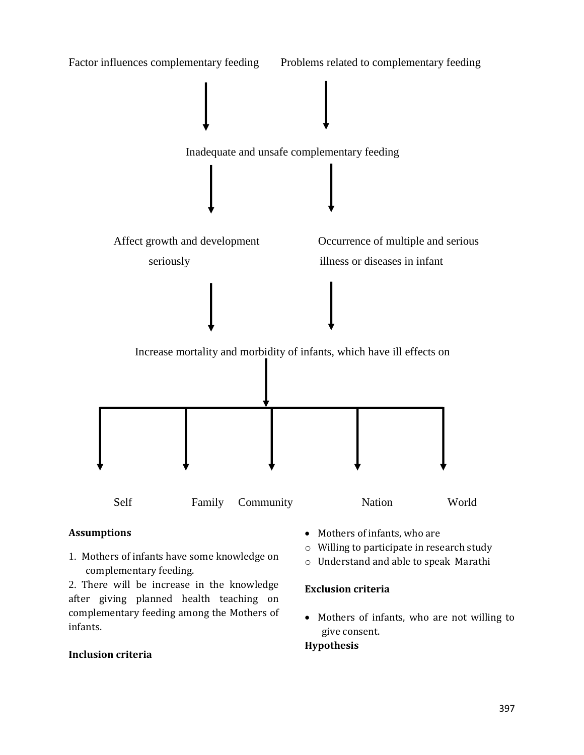

### **Assumptions**

1. Mothers of infants have some knowledge on complementary feeding.

2. There will be increase in the knowledge after giving planned health teaching on complementary feeding among the Mothers of infants.

### **Inclusion criteria**

- Mothers of infants, who are
- o Willing to participate in research study
- o Understand and able to speak Marathi

### **Exclusion criteria**

• Mothers of infants, who are not willing to give consent.

#### **Hypothesis**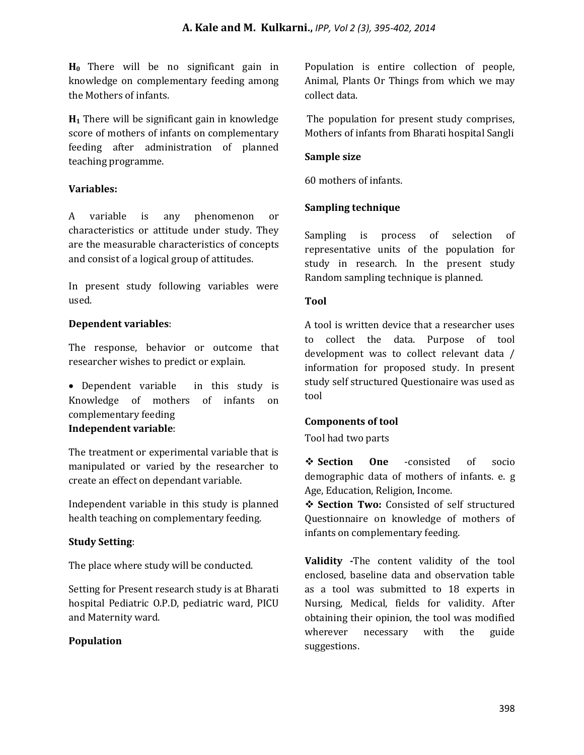**H0** There will be no significant gain in knowledge on complementary feeding among the Mothers of infants.

**H<sup>1</sup>** There will be significant gain in knowledge score of mothers of infants on complementary feeding after administration of planned teaching programme.

### **Variables:**

A variable is any phenomenon or characteristics or attitude under study. They are the measurable characteristics of concepts and consist of a logical group of attitudes.

In present study following variables were used.

### **Dependent variables**:

The response, behavior or outcome that researcher wishes to predict or explain.

 Dependent variable in this study is Knowledge of mothers of infants on complementary feeding **Independent variable**:

The treatment or experimental variable that is manipulated or varied by the researcher to create an effect on dependant variable.

Independent variable in this study is planned health teaching on complementary feeding.

# **Study Setting**:

The place where study will be conducted.

Setting for Present research study is at Bharati hospital Pediatric O.P.D, pediatric ward, PICU and Maternity ward.

# **Population**

Population is entire collection of people, Animal, Plants Or Things from which we may collect data.

The population for present study comprises, Mothers of infants from Bharati hospital Sangli

### **Sample size**

60 mothers of infants.

### **Sampling technique**

Sampling is process of selection of representative units of the population for study in research. In the present study Random sampling technique is planned.

### **Tool**

A tool is written device that a researcher uses to collect the data. Purpose of tool development was to collect relevant data / information for proposed study. In present study self structured Questionaire was used as tool

### **Components of tool**

Tool had two parts

 **Section One** -consisted of socio demographic data of mothers of infants. e. g Age, Education, Religion, Income.

**Section Two:** Consisted of self structured Questionnaire on knowledge of mothers of infants on complementary feeding.

**Validity -**The content validity of the tool enclosed, baseline data and observation table as a tool was submitted to 18 experts in Nursing, Medical, fields for validity. After obtaining their opinion, the tool was modified wherever necessary with the guide suggestions.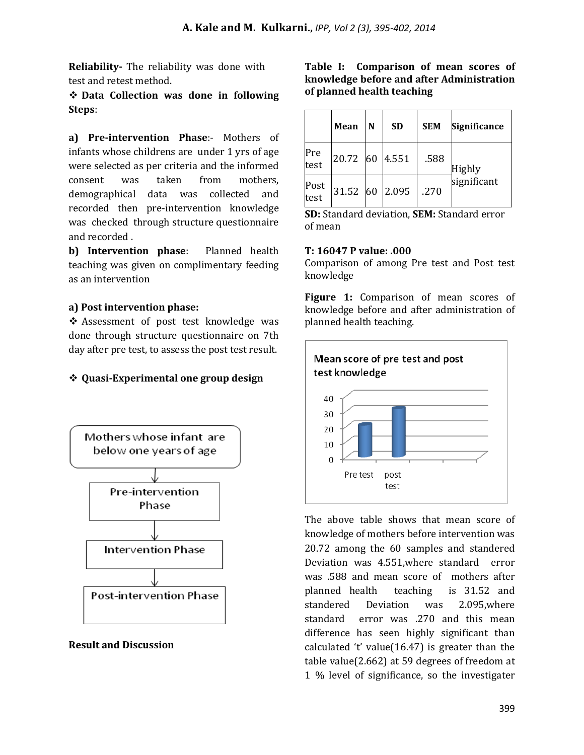**Reliability-** The reliability was done with test and retest method.

 **Data Collection was done in following Steps**:

**a) Pre-intervention Phase**:- Mothers of infants whose childrens are under 1 yrs of age were selected as per criteria and the informed consent was taken from mothers, demographical data was collected and recorded then pre-intervention knowledge was checked through structure questionnaire and recorded .

**b) Intervention phase**: Planned health teaching was given on complimentary feeding as an intervention

### **a) Post intervention phase:**

 Assessment of post test knowledge was done through structure questionnaire on 7th day after pre test, to assess the post test result.

# **Quasi-Experimental one group design**



### **Result and Discussion**

**Table I: Comparison of mean scores of knowledge before and after Administration of planned health teaching**

|              | Mean     | N | <b>SD</b> | <b>SEM</b> | <b>Significance</b>          |
|--------------|----------|---|-----------|------------|------------------------------|
| Pre<br>test  | 20.72 60 |   | 4.551     | .588       | <b>Highly</b><br>significant |
| Post<br>test | 31.52 60 |   | 2.095     | .270       |                              |

**SD:** Standard deviation, **SEM:** Standard error of mean

#### **T: 16047 P value: .000**

Comparison of among Pre test and Post test knowledge

**Figure 1:** Comparison of mean scores of knowledge before and after administration of planned health teaching.



The above table shows that mean score of knowledge of mothers before intervention was 20.72 among the 60 samples and standered Deviation was 4.551,where standard error was .588 and mean score of mothers after planned health teaching is 31.52 and standered Deviation was 2.095,where standard error was .270 and this mean difference has seen highly significant than calculated 't' value(16.47) is greater than the table value(2.662) at 59 degrees of freedom at 1 % level of significance, so the investigater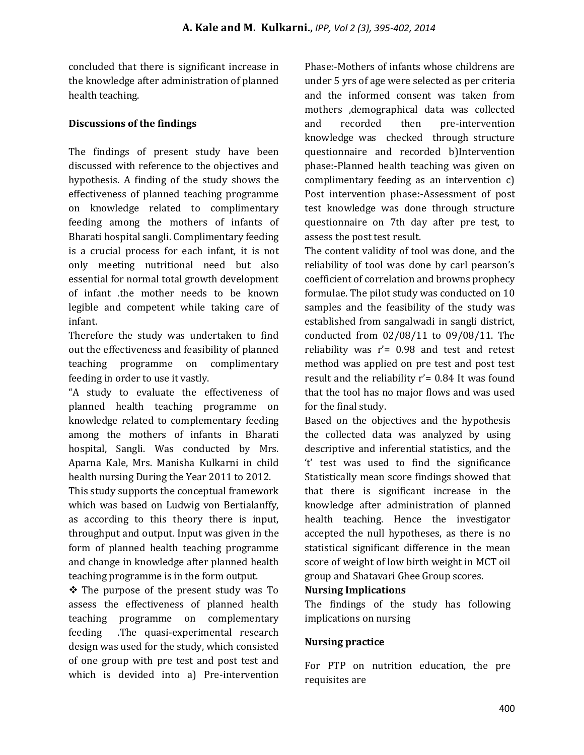concluded that there is significant increase in the knowledge after administration of planned health teaching.

### **Discussions of the findings**

The findings of present study have been discussed with reference to the objectives and hypothesis. A finding of the study shows the effectiveness of planned teaching programme on knowledge related to complimentary feeding among the mothers of infants of Bharati hospital sangli. Complimentary feeding is a crucial process for each infant, it is not only meeting nutritional need but also essential for normal total growth development of infant .the mother needs to be known legible and competent while taking care of infant.

Therefore the study was undertaken to find out the effectiveness and feasibility of planned teaching programme on complimentary feeding in order to use it vastly.

"A study to evaluate the effectiveness of planned health teaching programme on knowledge related to complementary feeding among the mothers of infants in Bharati hospital, Sangli. Was conducted by Mrs. Aparna Kale, Mrs. Manisha Kulkarni in child health nursing During the Year 2011 to 2012.

This study supports the conceptual framework which was based on Ludwig von Bertialanffy, as according to this theory there is input, throughput and output. Input was given in the form of planned health teaching programme and change in knowledge after planned health teaching programme is in the form output.

 The purpose of the present study was To assess the effectiveness of planned health teaching programme on complementary feeding .The quasi-experimental research design was used for the study, which consisted of one group with pre test and post test and which is devided into a) Pre-intervention

Phase:-Mothers of infants whose childrens are under 5 yrs of age were selected as per criteria and the informed consent was taken from mothers ,demographical data was collected and recorded then pre-intervention knowledge was checked through structure questionnaire and recorded b)Intervention phase:-Planned health teaching was given on complimentary feeding as an intervention c) Post intervention phase**:-**Assessment of post test knowledge was done through structure questionnaire on 7th day after pre test, to assess the post test result.

The content validity of tool was done, and the reliability of tool was done by carl pearson's coefficient of correlation and browns prophecy formulae. The pilot study was conducted on 10 samples and the feasibility of the study was established from sangalwadi in sangli district, conducted from 02/08/11 to 09/08/11. The reliability was r'= 0.98 and test and retest method was applied on pre test and post test result and the reliability  $r' = 0.84$  It was found that the tool has no major flows and was used for the final study.

Based on the objectives and the hypothesis the collected data was analyzed by using descriptive and inferential statistics, and the 't' test was used to find the significance Statistically mean score findings showed that that there is significant increase in the knowledge after administration of planned health teaching. Hence the investigator accepted the null hypotheses, as there is no statistical significant difference in the mean score of weight of low birth weight in MCT oil group and Shatavari Ghee Group scores.

### **Nursing Implications**

The findings of the study has following implications on nursing

# **Nursing practice**

For PTP on nutrition education, the pre requisites are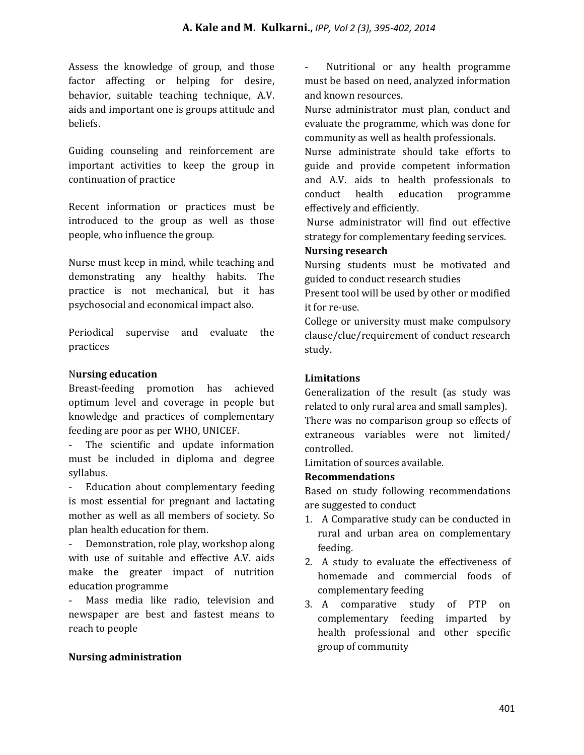Assess the knowledge of group, and those factor affecting or helping for desire, behavior, suitable teaching technique, A.V. aids and important one is groups attitude and beliefs.

Guiding counseling and reinforcement are important activities to keep the group in continuation of practice

Recent information or practices must be introduced to the group as well as those people, who influence the group.

Nurse must keep in mind, while teaching and demonstrating any healthy habits. The practice is not mechanical, but it has psychosocial and economical impact also.

Periodical supervise and evaluate the practices

### N**ursing education**

Breast-feeding promotion has achieved optimum level and coverage in people but knowledge and practices of complementary feeding are poor as per WHO, UNICEF.

- The scientific and update information must be included in diploma and degree syllabus.

Education about complementary feeding is most essential for pregnant and lactating mother as well as all members of society. So plan health education for them.

Demonstration, role play, workshop along with use of suitable and effective A.V. aids make the greater impact of nutrition education programme

- Mass media like radio, television and newspaper are best and fastest means to reach to people

### **Nursing administration**

- Nutritional or any health programme must be based on need, analyzed information and known resources.

Nurse administrator must plan, conduct and evaluate the programme, which was done for community as well as health professionals.

Nurse administrate should take efforts to guide and provide competent information and A.V. aids to health professionals to conduct health education programme effectively and efficiently.

Nurse administrator will find out effective strategy for complementary feeding services.

### **Nursing research**

Nursing students must be motivated and guided to conduct research studies

Present tool will be used by other or modified it for re-use.

College or university must make compulsory clause/clue/requirement of conduct research study.

#### **Limitations**

Generalization of the result (as study was related to only rural area and small samples). There was no comparison group so effects of extraneous variables were not limited/ controlled.

Limitation of sources available.

#### **Recommendations**

Based on study following recommendations are suggested to conduct

- 1. A Comparative study can be conducted in rural and urban area on complementary feeding.
- 2. A study to evaluate the effectiveness of homemade and commercial foods of complementary feeding
- 3. A comparative study of PTP on complementary feeding imparted by health professional and other specific group of community